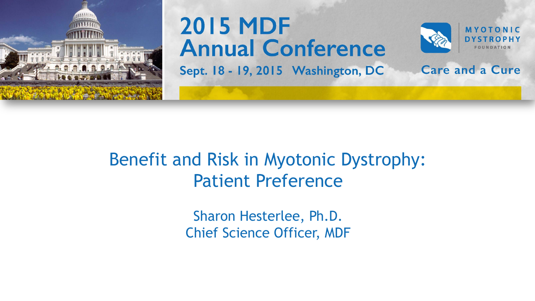

## **2015 MDF Annual Conference**



**Care and a Cure** 

Sept. 18 - 19, 2015 Washington, DC

#### Benefit and Risk in Myotonic Dystrophy: Patient Preference

Sharon Hesterlee, Ph.D. Chief Science Officer, MDF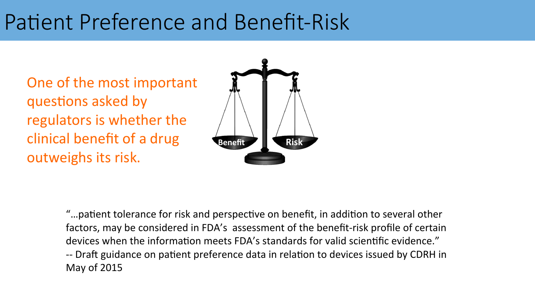## Patient Preference and Benefit-Risk

One of the most important questions asked by regulators is whether the clinical benefit of a drug outweighs its risk.



"...patient tolerance for risk and perspective on benefit, in addition to several other factors, may be considered in FDA's assessment of the benefit-risk profile of certain devices when the information meets FDA's standards for valid scientific evidence." -- Draft guidance on patient preference data in relation to devices issued by CDRH in May of 2015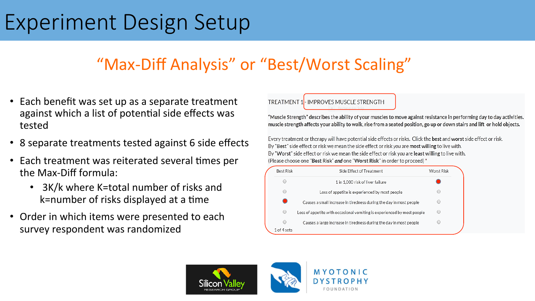## Experiment Design Setup

#### "Max-Diff Analysis" or "Best/Worst Scaling"

- Each benefit was set up as a separate treatment against which a list of potential side effects was tested
- 8 separate treatments tested against 6 side effects
- Each treatment was reiterated several times per the Max-Diff formula:
	- 3K/k where K=total number of risks and k=number of risks displayed at a time
- Order in which items were presented to each survey respondent was randomized



"Muscle Strength" describes the ability of your muscles to move against resistance in performing day to day activities. muscle strength affects your ability to walk, rise from a seated position, go up or down stairs and lift or hold objects.

Every treatment or therapy will have potential side effects or risks. Click the best and worst side effect or risk. By "Best" side effect or risk we mean the side effect or risk you are most willing to live with. By "Worst" side effect or risk we mean the side effect or risk you are least willing to live with. (Please choose one "Best Risk" and one "Worst Risk" in order to proceed) \*

| <b>Best Risk</b> | Side Effect of Treatment                                                | Worst Risk |
|------------------|-------------------------------------------------------------------------|------------|
| С                | 1 in 1,000 risk of liver failure                                        |            |
| С                | Loss of appetite is experienced by most people                          |            |
|                  | Causes a small increase in tiredness during the day in most people      |            |
| $\bigcirc$       | Loss of appetite with occasional vomiting is experienced by most people |            |
| O                | Causes a large increase in tiredness during the day in most people      |            |
| 1 of 4 sets      |                                                                         |            |

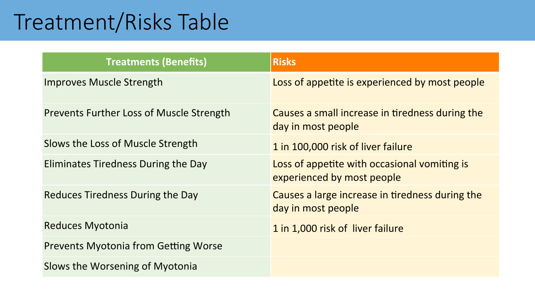## Treatment/Risks Table

| <b>Treatments (Benefits)</b>                    | <b>Risks</b>                                                               |
|-------------------------------------------------|----------------------------------------------------------------------------|
| <b>Improves Muscle Strength</b>                 | Loss of appetite is experienced by most people                             |
| <b>Prevents Further Loss of Muscle Strength</b> | Causes a small increase in tiredness during the<br>day in most people      |
| Slows the Loss of Muscle Strength               | 1 in 100,000 risk of liver failure                                         |
| Eliminates Tiredness During the Day             | Loss of appetite with occasional vomiting is<br>experienced by most people |
| <b>Reduces Tiredness During the Day</b>         | Causes a large increase in tiredness during the<br>day in most people      |
| <b>Reduces Myotonia</b>                         | 1 in 1,000 risk of liver failure                                           |
| <b>Prevents Myotonia from Getting Worse</b>     |                                                                            |
| Slows the Worsening of Myotonia                 |                                                                            |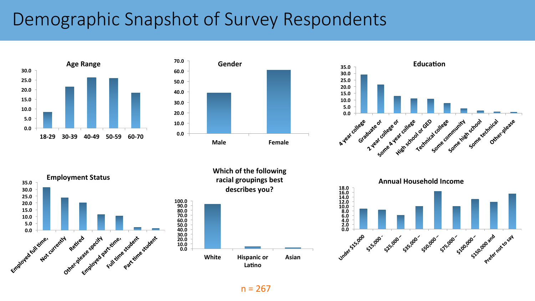### Demographic Snapshot of Survey Respondents







**35.0 Employment Status 30.0 25.0 20.0 15.0 10.0 5.0**  employed full tame. other peakes sective a Etrapoved partitives in For Partitine, student sti e, student student Notcurrently

**Which of the following** racial groupings best describes you?





 $n = 267$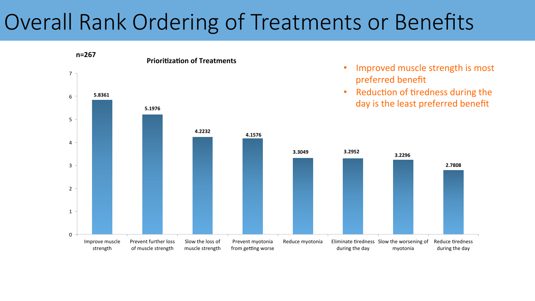## Overall Rank Ordering of Treatments or Benefits

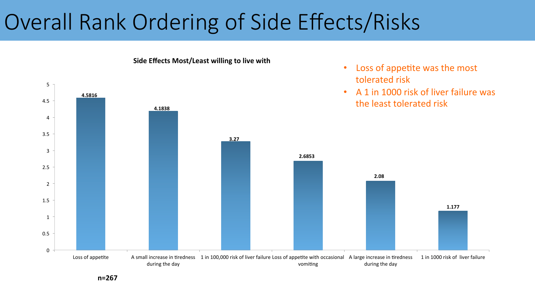## Overall Rank Ordering of Side Effects/Risks



**n=267**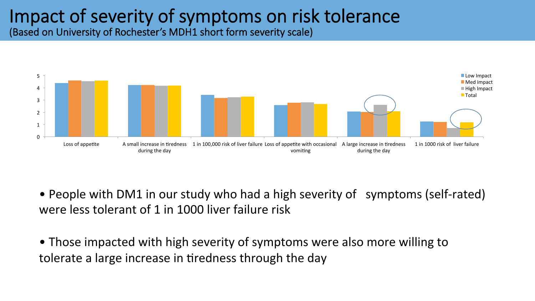# Impact of severity of symptoms on risk tolerance (Based on University of Rochester's MDH1 short form severity scale)



• People with DM1 in our study who had a high severity of symptoms (self-rated) were less tolerant of 1 in 1000 liver failure risk

• Those impacted with high severity of symptoms were also more willing to tolerate a large increase in tiredness through the day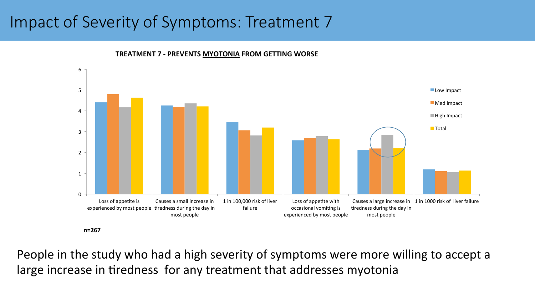#### Impact of Severity of Symptoms: Treatment 7



**TREATMENT 7 - PREVENTS MYOTONIA FROM GETTING WORSE** 

People in the study who had a high severity of symptoms were more willing to accept a large increase in tiredness for any treatment that addresses myotonia